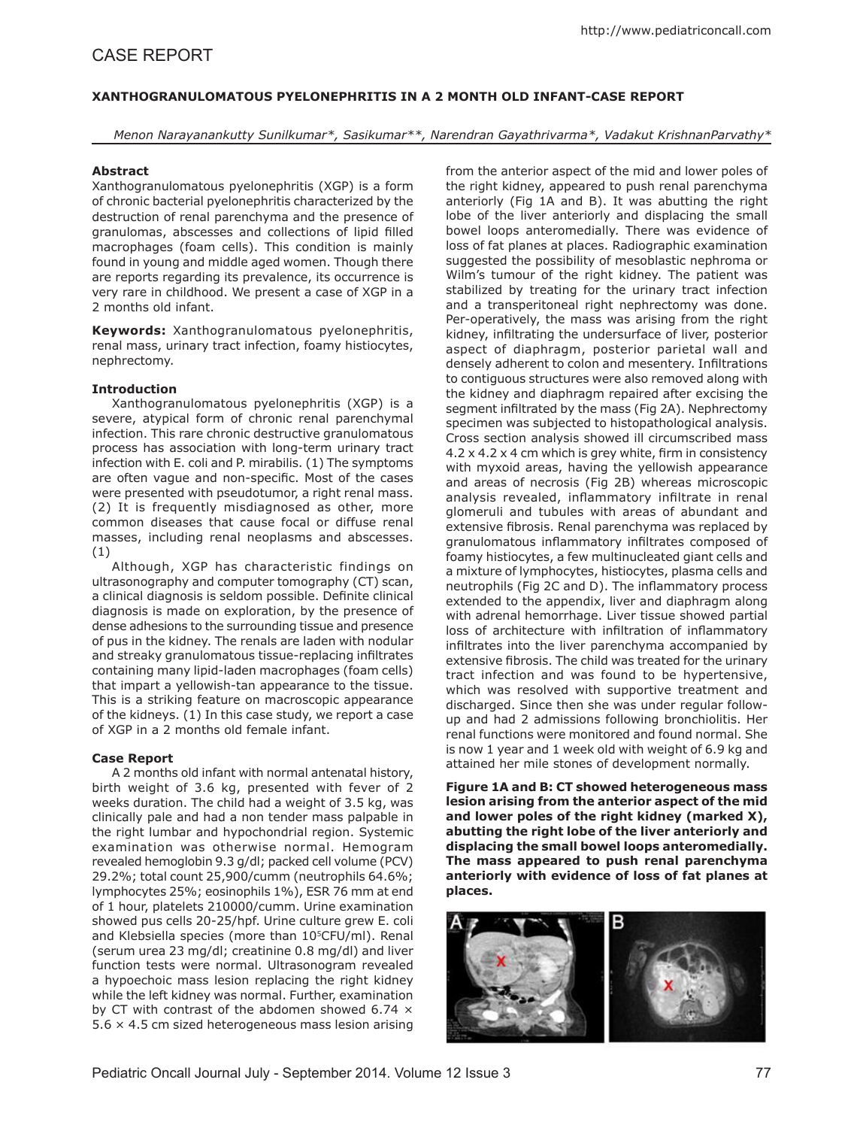# **Xanthogranulomatous Pyelonephritis in a 2 month Old Infant-Case Report**

*Menon Narayanankutty Sunilkumar\*, Sasikumar\*\*, Narendran Gayathrivarma\*, Vadakut KrishnanParvathy\**

## **Abstract**

Xanthogranulomatous pyelonephritis (XGP) is a form of chronic bacterial pyelonephritis characterized by the destruction of renal parenchyma and the presence of granulomas, abscesses and collections of lipid filled macrophages (foam cells). This condition is mainly found in young and middle aged women. Though there are reports regarding its prevalence, its occurrence is very rare in childhood. We present a case of XGP in a 2 months old infant.

**Keywords:** Xanthogranulomatous pyelonephritis, renal mass, urinary tract infection, foamy histiocytes, nephrectomy.

## **Introduction**

Xanthogranulomatous pyelonephritis (XGP) is a severe, atypical form of chronic renal parenchymal infection. This rare chronic destructive granulomatous process has association with long-term urinary tract infection with E. coli and P. mirabilis. (1) The symptoms are often vague and non-specific. Most of the cases were presented with pseudotumor, a right renal mass. (2) It is frequently misdiagnosed as other, more common diseases that cause focal or diffuse renal masses, including renal neoplasms and abscesses. (1)

Although, XGP has characteristic findings on ultrasonography and computer tomography (CT) scan, a clinical diagnosis is seldom possible. Definite clinical diagnosis is made on exploration, by the presence of dense adhesions to the surrounding tissue and presence of pus in the kidney. The renals are laden with nodular and streaky granulomatous tissue-replacing infiltrates containing many lipid-laden macrophages (foam cells) that impart a yellowish-tan appearance to the tissue. This is a striking feature on macroscopic appearance of the kidneys. (1) In this case study, we report a case of XGP in a 2 months old female infant.

## **Case Report**

A 2 months old infant with normal antenatal history, birth weight of 3.6 kg, presented with fever of 2 weeks duration. The child had a weight of 3.5 kg, was clinically pale and had a non tender mass palpable in the right lumbar and hypochondrial region. Systemic examination was otherwise normal. Hemogram revealed hemoglobin 9.3 g/dl; packed cell volume (PCV) 29.2%; total count 25,900/cumm (neutrophils 64.6%; lymphocytes 25%; eosinophils 1%), ESR 76 mm at end of 1 hour, platelets 210000/cumm. Urine examination showed pus cells 20-25/hpf. Urine culture grew E. coli and Klebsiella species (more than 10<sup>5</sup>CFU/ml). Renal (serum urea 23 mg/dl; creatinine 0.8 mg/dl) and liver function tests were normal. Ultrasonogram revealed a hypoechoic mass lesion replacing the right kidney while the left kidney was normal. Further, examination by CT with contrast of the abdomen showed 6.74  $\times$ 5.6 × 4.5 cm sized heterogeneous mass lesion arising

from the anterior aspect of the mid and lower poles of the right kidney, appeared to push renal parenchyma anteriorly (Fig 1A and B). It was abutting the right lobe of the liver anteriorly and displacing the small bowel loops anteromedially. There was evidence of loss of fat planes at places. Radiographic examination suggested the possibility of mesoblastic nephroma or Wilm's tumour of the right kidney. The patient was stabilized by treating for the urinary tract infection and a transperitoneal right nephrectomy was done. Per-operatively, the mass was arising from the right kidney, infiltrating the undersurface of liver, posterior aspect of diaphragm, posterior parietal wall and densely adherent to colon and mesentery. Infiltrations to contiguous structures were also removed along with the kidney and diaphragm repaired after excising the segment infiltrated by the mass (Fig 2A). Nephrectomy specimen was subjected to histopathological analysis. Cross section analysis showed ill circumscribed mass 4.2 x 4.2 x 4 cm which is grey white, firm in consistency with myxoid areas, having the yellowish appearance and areas of necrosis (Fig 2B) whereas microscopic analysis revealed, inflammatory infiltrate in renal glomeruli and tubules with areas of abundant and extensive fibrosis. Renal parenchyma was replaced by granulomatous inflammatory infiltrates composed of foamy histiocytes, a few multinucleated giant cells and a mixture of lymphocytes, histiocytes, plasma cells and neutrophils (Fig 2C and D). The inflammatory process extended to the appendix, liver and diaphragm along with adrenal hemorrhage. Liver tissue showed partial loss of architecture with infiltration of inflammatory infiltrates into the liver parenchyma accompanied by extensive fibrosis. The child was treated for the urinary tract infection and was found to be hypertensive, which was resolved with supportive treatment and discharged. Since then she was under regular followup and had 2 admissions following bronchiolitis. Her renal functions were monitored and found normal. She is now 1 year and 1 week old with weight of 6.9 kg and attained her mile stones of development normally.

**Figure 1A and B: CT showed heterogeneous mass lesion arising from the anterior aspect of the mid and lower poles of the right kidney (marked X), abutting the right lobe of the liver anteriorly and displacing the small bowel loops anteromedially. The mass appeared to push renal parenchyma anteriorly with evidence of loss of fat planes at places.** 

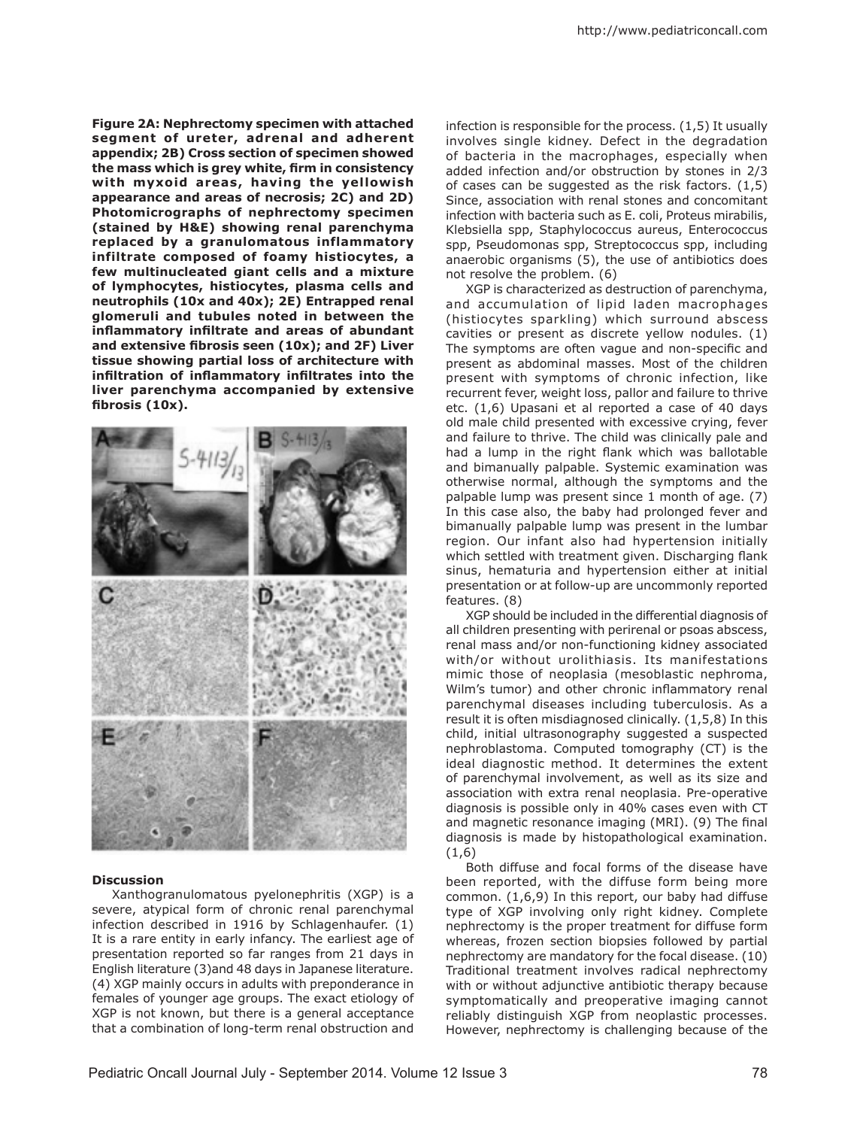**Figure 2A: Nephrectomy specimen with attached segment of ureter, adrenal and adherent appendix; 2B) Cross section of specimen showed the mass which is grey white, firm in consistency**  with myxoid areas, having the yellowish **appearance and areas of necrosis; 2C) and 2D) Photomicrographs of nephrectomy specimen (stained by H&E) showing renal parenchyma replaced by a granulomatous inflammatory infiltrate composed of foamy histiocytes, a few multinucleated giant cells and a mixture of lymphocytes, histiocytes, plasma cells and neutrophils (10x and 40x); 2E) Entrapped renal glomeruli and tubules noted in between the inflammatory infiltrate and areas of abundant and extensive fibrosis seen (10x); and 2F) Liver tissue showing partial loss of architecture with infiltration of inflammatory infiltrates into the liver parenchyma accompanied by extensive fibrosis (10x).**



#### **Discussion**

Xanthogranulomatous pyelonephritis (XGP) is a severe, atypical form of chronic renal parenchymal infection described in 1916 by Schlagenhaufer. (1) It is a rare entity in early infancy. The earliest age of presentation reported so far ranges from 21 days in English literature (3)and 48 days in Japanese literature. (4) XGP mainly occurs in adults with preponderance in females of younger age groups. The exact etiology of XGP is not known, but there is a general acceptance that a combination of long-term renal obstruction and

infection is responsible for the process. (1,5) It usually involves single kidney. Defect in the degradation of bacteria in the macrophages, especially when added infection and/or obstruction by stones in 2/3 of cases can be suggested as the risk factors. (1,5) Since, association with renal stones and concomitant infection with bacteria such as E. coli, Proteus mirabilis, Klebsiella spp, Staphylococcus aureus, Enterococcus spp, Pseudomonas spp, Streptococcus spp, including anaerobic organisms (5), the use of antibiotics does not resolve the problem. (6)

XGP is characterized as destruction of parenchyma, and accumulation of lipid laden macrophages (histiocytes sparkling) which surround abscess cavities or present as discrete yellow nodules. (1) The symptoms are often vague and non-specific and present as abdominal masses. Most of the children present with symptoms of chronic infection, like recurrent fever, weight loss, pallor and failure to thrive etc. (1,6) Upasani et al reported a case of 40 days old male child presented with excessive crying, fever and failure to thrive. The child was clinically pale and had a lump in the right flank which was ballotable and bimanually palpable. Systemic examination was otherwise normal, although the symptoms and the palpable lump was present since 1 month of age. (7) In this case also, the baby had prolonged fever and bimanually palpable lump was present in the lumbar region. Our infant also had hypertension initially which settled with treatment given. Discharging flank sinus, hematuria and hypertension either at initial presentation or at follow-up are uncommonly reported features. (8)

XGP should be included in the differential diagnosis of all children presenting with perirenal or psoas abscess, renal mass and/or non-functioning kidney associated with/or without urolithiasis. Its manifestations mimic those of neoplasia (mesoblastic nephroma, Wilm's tumor) and other chronic inflammatory renal parenchymal diseases including tuberculosis. As a result it is often misdiagnosed clinically. (1,5,8) In this child, initial ultrasonography suggested a suspected nephroblastoma. Computed tomography (CT) is the ideal diagnostic method. It determines the extent of parenchymal involvement, as well as its size and association with extra renal neoplasia. Pre-operative diagnosis is possible only in 40% cases even with CT and magnetic resonance imaging (MRI). (9) The final diagnosis is made by histopathological examination. (1,6)

Both diffuse and focal forms of the disease have been reported, with the diffuse form being more common. (1,6,9) In this report, our baby had diffuse type of XGP involving only right kidney. Complete nephrectomy is the proper treatment for diffuse form whereas, frozen section biopsies followed by partial nephrectomy are mandatory for the focal disease. (10) Traditional treatment involves radical nephrectomy with or without adjunctive antibiotic therapy because symptomatically and preoperative imaging cannot reliably distinguish XGP from neoplastic processes. However, nephrectomy is challenging because of the